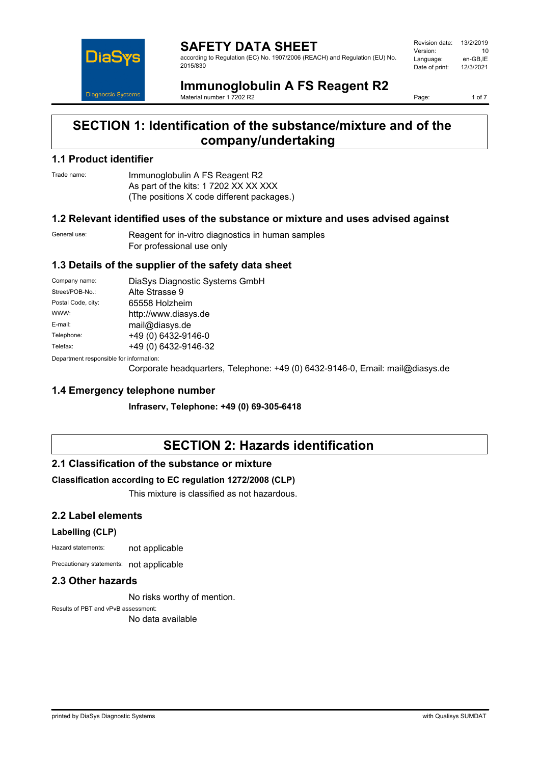

**SAFETY DATA SHEET** according to Regulation (EC) No. 1907/2006 (REACH) and Regulation (EU) No. 2015/830

Revision date: 13/2/2019 Version: 10<br>Language: en-GB.IE Language: en-GB,IE<br>Date of print: 12/3/2021 Date of print:

# **Immunoglobulin A FS Reagent R2**

Material number 1 7202 R2

Page: 1 of 7

## **SECTION 1: Identification of the substance/mixture and of the company/undertaking**

#### **1.1 Product identifier**

Trade name: Immunoglobulin A FS Reagent R2 As part of the kits: 1 7202 XX XX XXX (The positions X code different packages.)

#### **1.2 Relevant identified uses of the substance or mixture and uses advised against**

General use: Reagent for in-vitro diagnostics in human samples For professional use only

#### **1.3 Details of the supplier of the safety data sheet**

| Company name:                            | DiaSys Diagnostic Systems GmbH |  |
|------------------------------------------|--------------------------------|--|
| Street/POB-No.:                          | Alte Strasse 9                 |  |
| Postal Code, city:                       | 65558 Holzheim                 |  |
| WWW:                                     | http://www.diasys.de           |  |
| E-mail:                                  | mail@diasys.de                 |  |
| Telephone:                               | +49 (0) 6432-9146-0            |  |
| Telefax:                                 | +49 (0) 6432-9146-32           |  |
| Denemberek vernemaikte fan informaatien: |                                |  |

Department responsible for information:

Corporate headquarters, Telephone: +49 (0) 6432-9146-0, Email: mail@diasys.de

#### **1.4 Emergency telephone number**

**Infraserv, Telephone: +49 (0) 69-305-6418**

## **SECTION 2: Hazards identification**

#### **2.1 Classification of the substance or mixture**

#### **Classification according to EC regulation 1272/2008 (CLP)**

This mixture is classified as not hazardous.

### **2.2 Label elements**

#### **Labelling (CLP)**

Hazard statements: not applicable

Precautionary statements: not applicable

#### **2.3 Other hazards**

No risks worthy of mention.

Results of PBT and vPvB assessment: No data available

printed by DiaSys Diagnostic Systems with Qualisys SUMDAT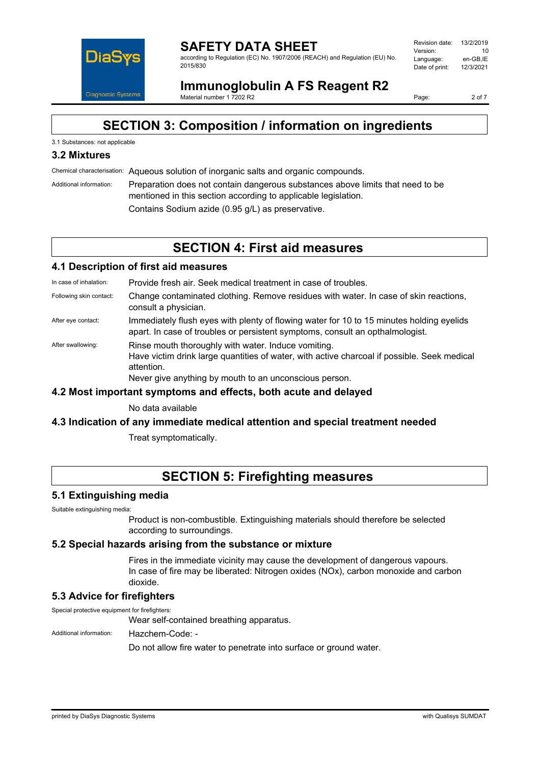

#### **SAFETY DATA SHEET** according to Regulation (EC) No. 1907/2006 (REACH) and Regulation (EU) No. 2015/830

Revision date: 13/2/2019 Version: 10<br>Language: en-GB.IE Language: en-GB,IE<br>Date of print: 12/3/2021 Date of print:

**Immunoglobulin A FS Reagent R2** Material number 1 7202 R2

Page: 2 of 7

## **SECTION 3: Composition / information on ingredients**

#### 3.1 Substances: not applicable

### **3.2 Mixtures**

Chemical characterisation: Aqueous solution of inorganic salts and organic compounds.

Additional information: Preparation does not contain dangerous substances above limits that need to be mentioned in this section according to applicable legislation. Contains Sodium azide (0.95 g/L) as preservative.

## **SECTION 4: First aid measures**

#### **4.1 Description of first aid measures**

In case of inhalation: Provide fresh air. Seek medical treatment in case of troubles.

- Following skin contact: Change contaminated clothing. Remove residues with water. In case of skin reactions, consult a physician.
- After eye contact: Immediately flush eyes with plenty of flowing water for 10 to 15 minutes holding eyelids apart. In case of troubles or persistent symptoms, consult an opthalmologist.
- After swallowing: Rinse mouth thoroughly with water. Induce vomiting. Have victim drink large quantities of water, with active charcoal if possible. Seek medical attention. Never give anything by mouth to an unconscious person.

#### **4.2 Most important symptoms and effects, both acute and delayed**

No data available

#### **4.3 Indication of any immediate medical attention and special treatment needed**

Treat symptomatically.

## **SECTION 5: Firefighting measures**

#### **5.1 Extinguishing media**

Suitable extinguishing media:

Product is non-combustible. Extinguishing materials should therefore be selected according to surroundings.

#### **5.2 Special hazards arising from the substance or mixture**

Fires in the immediate vicinity may cause the development of dangerous vapours. In case of fire may be liberated: Nitrogen oxides (NOx), carbon monoxide and carbon dioxide.

### **5.3 Advice for firefighters**

Special protective equipment for firefighters:

Wear self-contained breathing apparatus.

Additional information: Hazchem-Code: -

Do not allow fire water to penetrate into surface or ground water.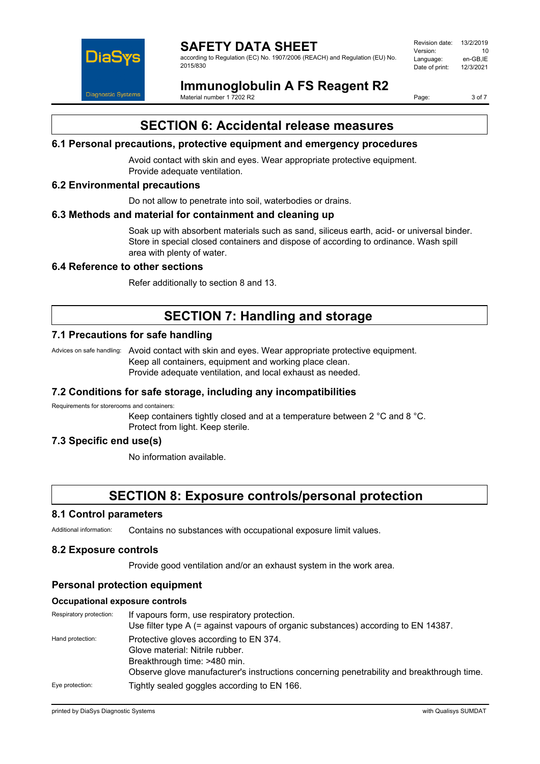

### **SAFETY DATA SHEET**

according to Regulation (EC) No. 1907/2006 (REACH) and Regulation (EU) No. 2015/830

| Revision date: | 13/2/2019 |
|----------------|-----------|
| Version:       | 10        |
| Language:      | en-GB.IE  |
| Date of print: | 12/3/2021 |
|                |           |

**Immunoglobulin A FS Reagent R2**

Material number 1 7202 R2

Page: 3 of 7

## **SECTION 6: Accidental release measures**

#### **6.1 Personal precautions, protective equipment and emergency procedures**

Avoid contact with skin and eyes. Wear appropriate protective equipment. Provide adequate ventilation.

#### **6.2 Environmental precautions**

Do not allow to penetrate into soil, waterbodies or drains.

#### **6.3 Methods and material for containment and cleaning up**

Soak up with absorbent materials such as sand, siliceus earth, acid- or universal binder. Store in special closed containers and dispose of according to ordinance. Wash spill area with plenty of water.

#### **6.4 Reference to other sections**

Refer additionally to section 8 and 13.

## **SECTION 7: Handling and storage**

### **7.1 Precautions for safe handling**

Advices on safe handling: Avoid contact with skin and eyes. Wear appropriate protective equipment. Keep all containers, equipment and working place clean. Provide adequate ventilation, and local exhaust as needed.

#### **7.2 Conditions for safe storage, including any incompatibilities**

Requirements for storerooms and containers:

Keep containers tightly closed and at a temperature between 2 °C and 8 °C. Protect from light. Keep sterile.

### **7.3 Specific end use(s)**

No information available.

## **SECTION 8: Exposure controls/personal protection**

#### **8.1 Control parameters**

Additional information: Contains no substances with occupational exposure limit values.

#### **8.2 Exposure controls**

Provide good ventilation and/or an exhaust system in the work area.

### **Personal protection equipment**

#### **Occupational exposure controls**

| Respiratory protection: | If vapours form, use respiratory protection.<br>Use filter type A $(=$ against vapours of organic substances) according to EN 14387. |
|-------------------------|--------------------------------------------------------------------------------------------------------------------------------------|
| Hand protection:        | Protective gloves according to EN 374.                                                                                               |
|                         | Glove material: Nitrile rubber.                                                                                                      |
|                         | Breakthrough time: >480 min.                                                                                                         |
|                         | Observe glove manufacturer's instructions concerning penetrability and breakthrough time.                                            |
| Eye protection:         | Tightly sealed goggles according to EN 166.                                                                                          |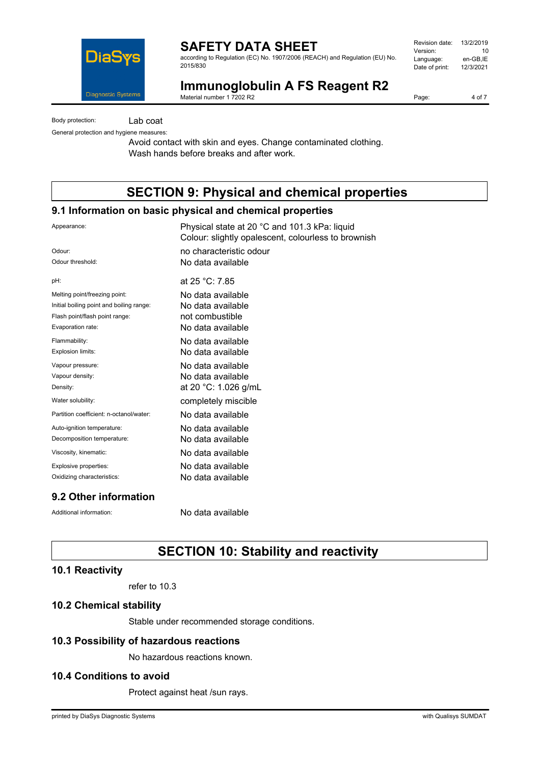

## **SAFETY DATA SHEET**

according to Regulation (EC) No. 1907/2006 (REACH) and Regulation (EU) No. 2015/830

| Revision date: | 13/2/2019 |
|----------------|-----------|
| Version:       | 10        |
| Language:      | en-GB.IE  |
| Date of print: | 12/3/2021 |
|                |           |

## **Immunoglobulin A FS Reagent R2**

Material number 1 7202 R2

Page: 4 of 7

Body protection: Lab coat

General protection and hygiene measures:

Avoid contact with skin and eyes. Change contaminated clothing. Wash hands before breaks and after work.

# **SECTION 9: Physical and chemical properties**

#### **9.1 Information on basic physical and chemical properties**

| Appearance:                              | Physical state at 20 °C and 101.3 kPa: liquid<br>Colour: slightly opalescent, colourless to brownish |
|------------------------------------------|------------------------------------------------------------------------------------------------------|
| Odour:                                   | no characteristic odour                                                                              |
| Odour threshold:                         | No data available                                                                                    |
| pH:                                      | at $25 °C$ : 7.85                                                                                    |
| Melting point/freezing point:            | No data available                                                                                    |
| Initial boiling point and boiling range: | No data available                                                                                    |
| Flash point/flash point range:           | not combustible                                                                                      |
| Evaporation rate:                        | No data available                                                                                    |
| Flammability:                            | No data available                                                                                    |
| Explosion limits:                        | No data available                                                                                    |
| Vapour pressure:                         | No data available                                                                                    |
| Vapour density:                          | No data available                                                                                    |
| Density:                                 | at 20 °C: 1.026 g/mL                                                                                 |
| Water solubility:                        | completely miscible                                                                                  |
| Partition coefficient: n-octanol/water:  | No data available                                                                                    |
| Auto-ignition temperature:               | No data available                                                                                    |
| Decomposition temperature:               | No data available                                                                                    |
| Viscosity, kinematic:                    | No data available                                                                                    |
| Explosive properties:                    | No data available                                                                                    |
| Oxidizing characteristics:               | No data available                                                                                    |
|                                          |                                                                                                      |

### **9.2 Other information**

Additional information: No data available

# **SECTION 10: Stability and reactivity**

#### **10.1 Reactivity**

refer to 10.3

#### **10.2 Chemical stability**

Stable under recommended storage conditions.

#### **10.3 Possibility of hazardous reactions**

No hazardous reactions known.

#### **10.4 Conditions to avoid**

Protect against heat /sun rays.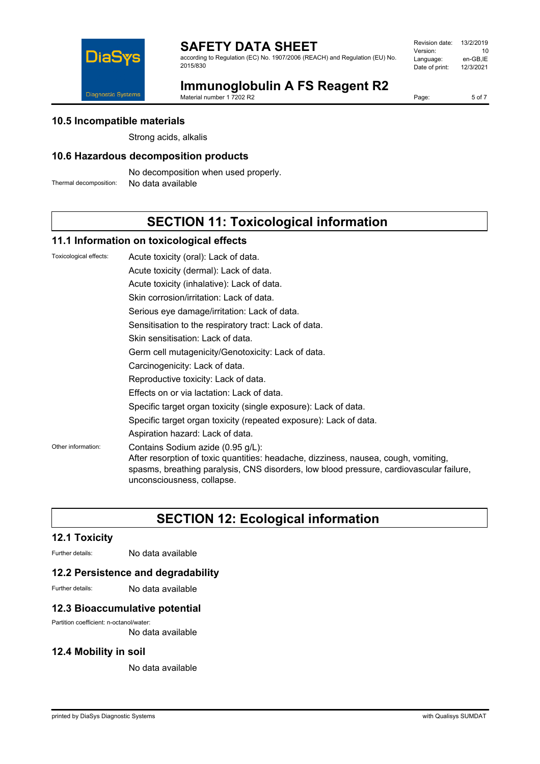

according to Regulation (EC) No. 1907/2006 (REACH) and Regulation (EU) No. 2015/830

Revision date: 13/2/2019 Version: 10<br>Language: en-GB,IE Language: en-GB,IE<br>Date of print: 12/3/2021 Date of print:



# **Immunoglobulin A FS Reagent R2**

Material number 1 7202 R2

Page: 5 of 7

#### **10.5 Incompatible materials**

Strong acids, alkalis

#### **10.6 Hazardous decomposition products**

No decomposition when used properly.

Thermal decomposition: No data available

## **SECTION 11: Toxicological information**

#### **11.1 Information on toxicological effects**

| Toxicological effects: | Acute toxicity (oral): Lack of data.                                                                                                                                                                                                              |
|------------------------|---------------------------------------------------------------------------------------------------------------------------------------------------------------------------------------------------------------------------------------------------|
|                        | Acute toxicity (dermal): Lack of data.                                                                                                                                                                                                            |
|                        | Acute toxicity (inhalative): Lack of data.                                                                                                                                                                                                        |
|                        | Skin corrosion/irritation: Lack of data.                                                                                                                                                                                                          |
|                        | Serious eye damage/irritation: Lack of data.                                                                                                                                                                                                      |
|                        | Sensitisation to the respiratory tract: Lack of data.                                                                                                                                                                                             |
|                        | Skin sensitisation: Lack of data.                                                                                                                                                                                                                 |
|                        | Germ cell mutagenicity/Genotoxicity: Lack of data.                                                                                                                                                                                                |
|                        | Carcinogenicity: Lack of data.                                                                                                                                                                                                                    |
|                        | Reproductive toxicity: Lack of data.                                                                                                                                                                                                              |
|                        | Effects on or via lactation: Lack of data.                                                                                                                                                                                                        |
|                        | Specific target organ toxicity (single exposure): Lack of data.                                                                                                                                                                                   |
|                        | Specific target organ toxicity (repeated exposure): Lack of data.                                                                                                                                                                                 |
|                        | Aspiration hazard: Lack of data.                                                                                                                                                                                                                  |
| Other information:     | Contains Sodium azide (0.95 g/L):<br>After resorption of toxic quantities: headache, dizziness, nausea, cough, vomiting,<br>spasms, breathing paralysis, CNS disorders, low blood pressure, cardiovascular failure,<br>unconsciousness, collapse. |
|                        |                                                                                                                                                                                                                                                   |

## **SECTION 12: Ecological information**

### **12.1 Toxicity**

Further details: No data available

#### **12.2 Persistence and degradability**

Further details: No data available

#### **12.3 Bioaccumulative potential**

Partition coefficient: n-octanol/water:

No data available

### **12.4 Mobility in soil**

No data available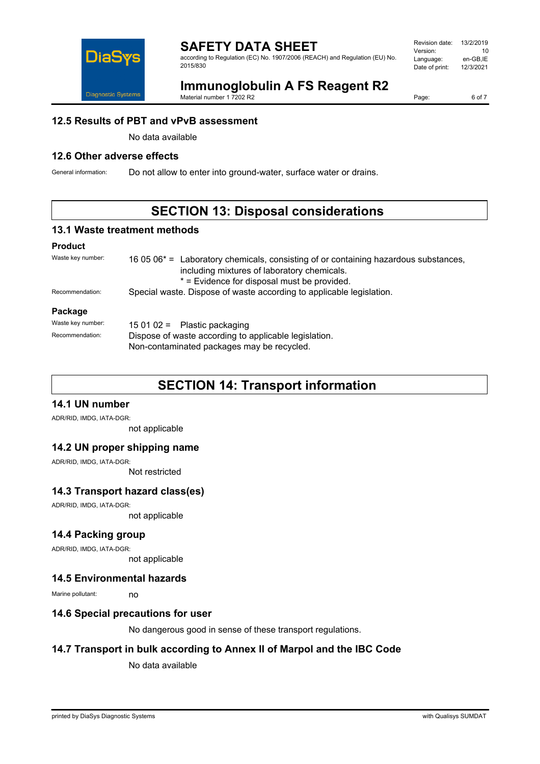

### **SAFETY DATA SHEET**

according to Regulation (EC) No. 1907/2006 (REACH) and Regulation (EU) No. 2015/830

| Revision date: | 13/2/2019 |
|----------------|-----------|
| Version:       | 10        |
| Language:      | en-GB.IE  |
| Date of print: | 12/3/2021 |
|                |           |

# **Immunoglobulin A FS Reagent R2**

Material number 1 7202 R2

Page: 6 of 7

#### **12.5 Results of PBT and vPvB assessment**

No data available

### **12.6 Other adverse effects**

General information: Do not allow to enter into ground-water, surface water or drains.

## **SECTION 13: Disposal considerations**

#### **13.1 Waste treatment methods**

#### **Product**

| Waste key number: | 16 05 06 <sup>*</sup> = Laboratory chemicals, consisting of or containing hazardous substances,<br>including mixtures of laboratory chemicals.<br>* = Evidence for disposal must be provided. |  |
|-------------------|-----------------------------------------------------------------------------------------------------------------------------------------------------------------------------------------------|--|
| Recommendation:   | Special waste. Dispose of waste according to applicable legislation.                                                                                                                          |  |
| Package           |                                                                                                                                                                                               |  |
| Waste key number: | 15 01 02 = Plastic packaging                                                                                                                                                                  |  |
| Recommendation:   | Dispose of waste according to applicable legislation.<br>Non-contaminated packages may be recycled.                                                                                           |  |

## **SECTION 14: Transport information**

### **14.1 UN number**

ADR/RID, IMDG, IATA-DGR:

not applicable

#### **14.2 UN proper shipping name**

ADR/RID, IMDG, IATA-DGR:

Not restricted

#### **14.3 Transport hazard class(es)**

ADR/RID, IMDG, IATA-DGR:

not applicable

#### **14.4 Packing group**

ADR/RID, IMDG, IATA-DGR:

not applicable

#### **14.5 Environmental hazards**

Marine pollutant: no

#### **14.6 Special precautions for user**

No dangerous good in sense of these transport regulations.

#### **14.7 Transport in bulk according to Annex II of Marpol and the IBC Code**

No data available